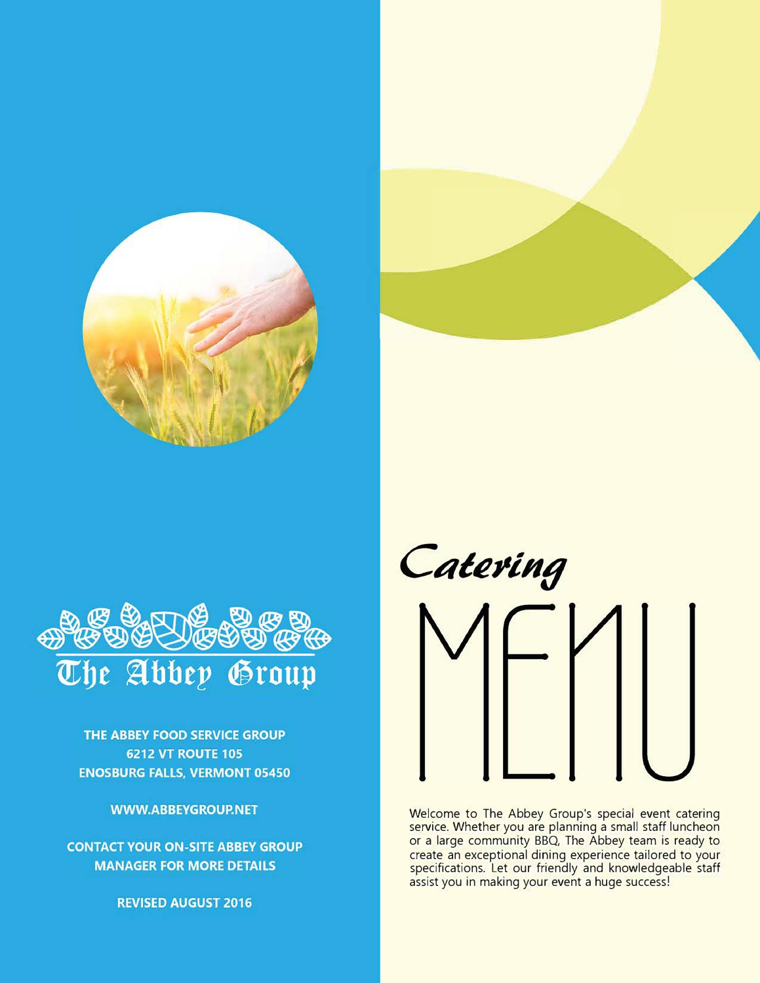



THE ABBEY FOOD SERVICE GROUP **6212 VT ROUTE 105 ENOSBURG FALLS, VERMONT 05450** 

**WWW.ABBEYGROUP.NET** 

**CONTACT YOUR ON-SITE ABBEY GROUP MANAGER FOR MORE DETAILS** 

**REVISED AUGUST 2016** 

Catering

Welcome to The Abbey Group's special event catering service. Whether you are planning a small staff luncheon or a large community BBQ, The Abbey team is ready to create an exceptional dining experience tailored to your specifications. Let our friendly and knowledgeable staff assist you in making your event a huge success!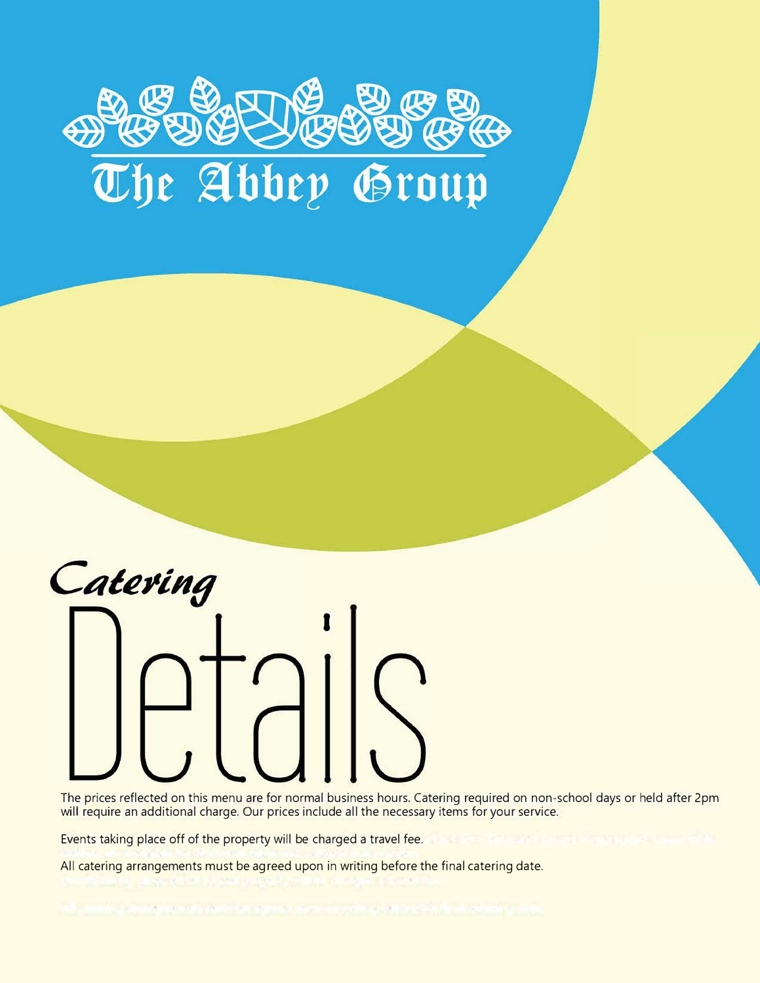# The Abbey Group



The prices reflected on this menu are for normal business hours. Catering required on non-school days or held after 2pm will require an additional charge. Our prices include all the necessary items for your service.

Events taking place off of the property will be charged a travel fee.

All catering arrangements must be agreed upon in writing before the final catering date.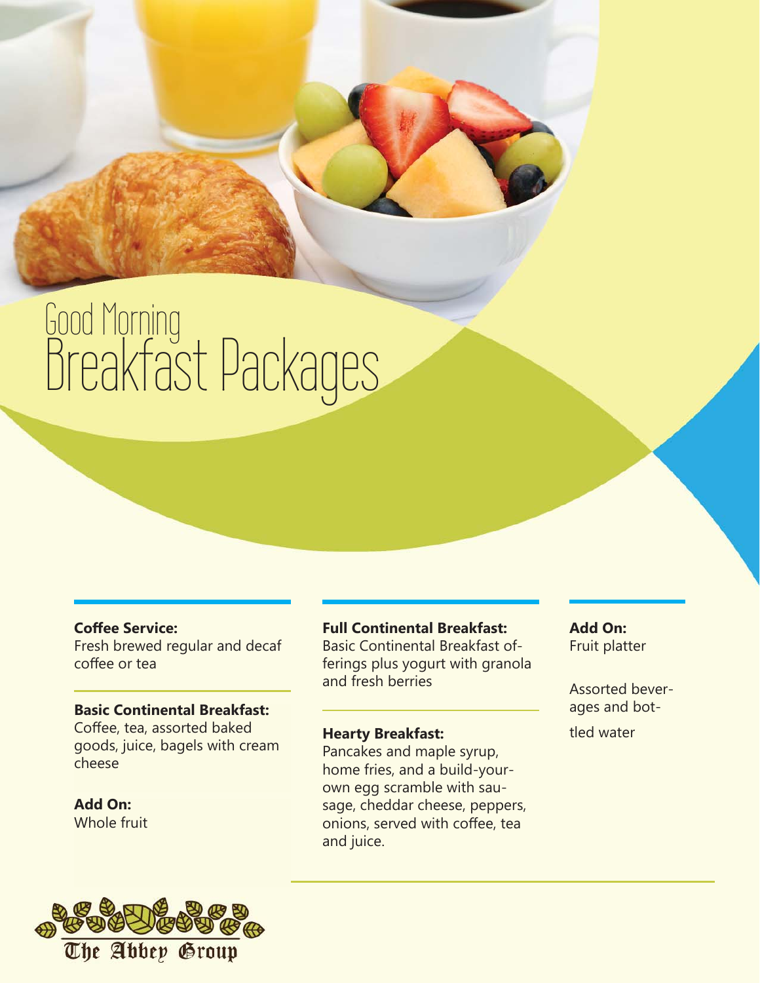# Good Morning Breakfast Packages

## **Coffee Service:**

Fresh brewed regular and decaf coffee or tea

#### **Basic Continental Breakfast:**

Coffee, tea, assorted baked goods, juice, bagels with cream cheese

**Add On:** Whole fruit



## **Full Continental Breakfast:**

Basic Continental Breakfast offerings plus yogurt with granola and fresh berries

## **Hearty Breakfast:**

Pancakes and maple syrup, home fries, and a build-yourown egg scramble with sausage, cheddar cheese, peppers, onions, served with coffee, tea and juice.

**Add On:** Fruit platter

Assorted beverages and bottled water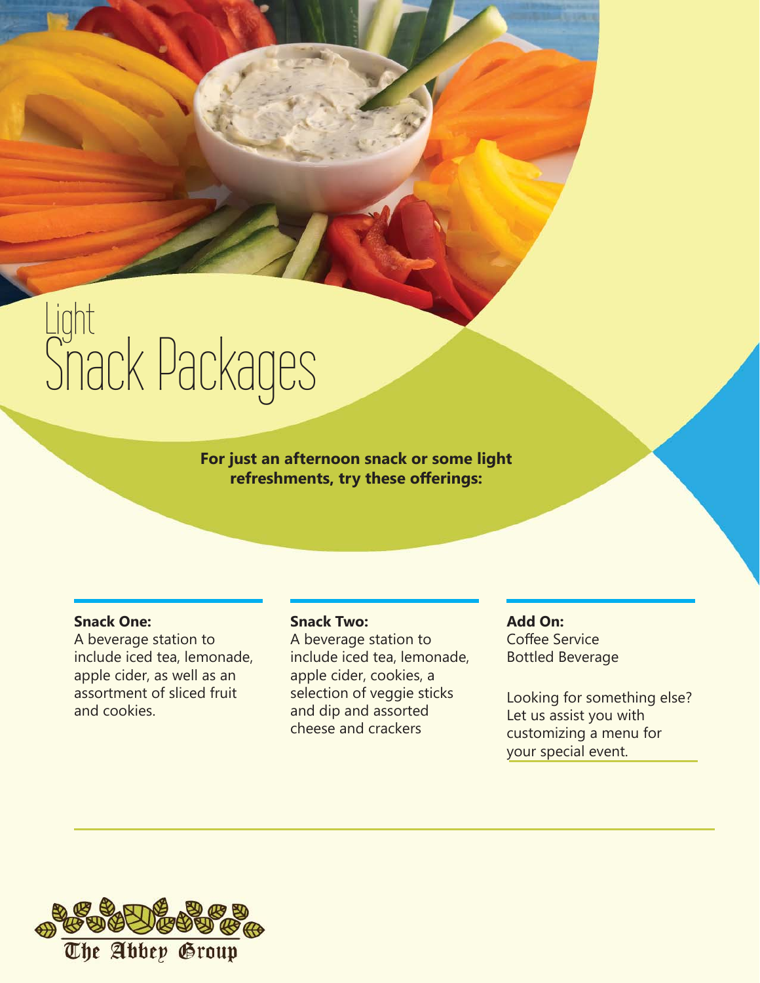# Light Snack Packages

**For just an afternoon snack or some light refreshments, try these offerings:** 

#### **Snack One:**

A beverage station to include iced tea, lemonade, apple cider, as well as an assortment of sliced fruit and cookies.

#### **Snack Two:**

A beverage station to include iced tea, lemonade, apple cider, cookies, a selection of veggie sticks and dip and assorted cheese and crackers

#### **Add On:**

Coffee Service Bottled Beverage

Looking for something else? Let us assist you with customizing a menu for your special event.

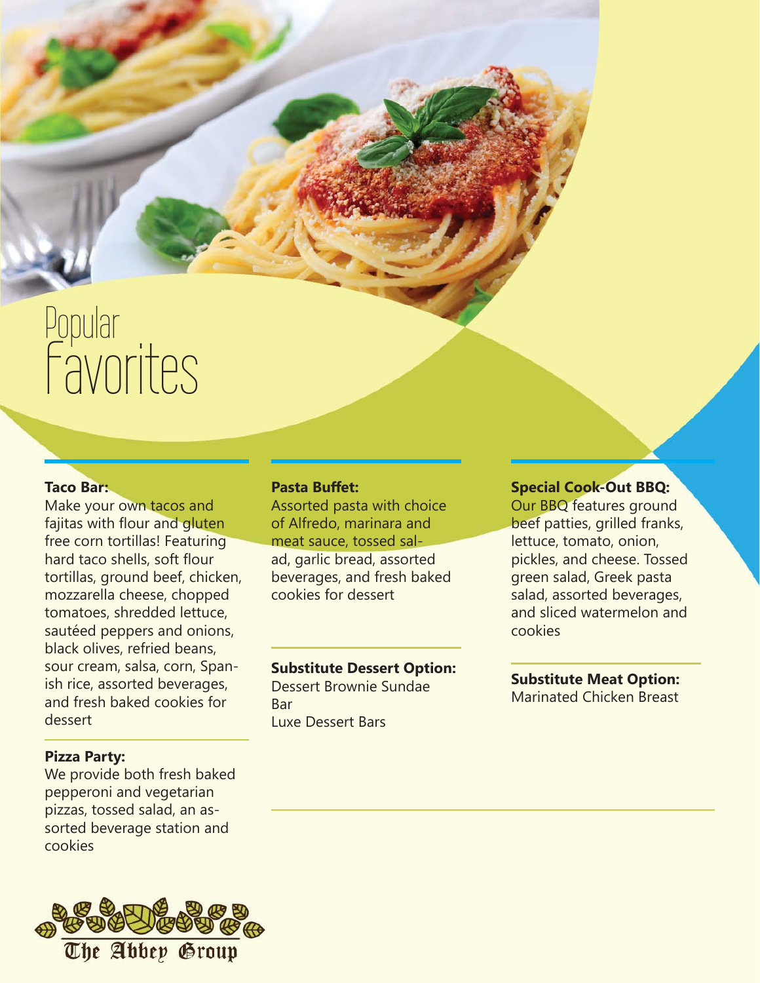# Popular Favorites

# **Taco Bar:**

Make your own tacos and fajitas with flour and gluten free corn tortillas! Featuring hard taco shells, soft flour tortillas, ground beef, chicken, mozzarella cheese, chopped tomatoes, shredded lettuce, sautéed peppers and onions, black olives, refried beans, sour cream, salsa, corn, Spanish rice, assorted beverages, and fresh baked cookies for dessert

#### **Pizza Party:**

We provide both fresh baked pepperoni and vegetarian pizzas, tossed salad, an assorted beverage station and cookies



#### **Pasta Buffet:**

Assorted pasta with choice of Alfredo, marinara and meat sauce, tossed salad, garlic bread, assorted beverages, and fresh baked cookies for dessert

## **Substitute Dessert Option:**

Dessert Brownie Sundae Bar Luxe Dessert Bars

#### **Special Cook-Out BBQ:**

Our BBQ features ground beef patties, grilled franks, lettuce, tomato, onion, pickles, and cheese. Tossed green salad, Greek pasta salad, assorted beverages, and sliced watermelon and cookies

#### **Substitute Meat Option:** Marinated Chicken Breast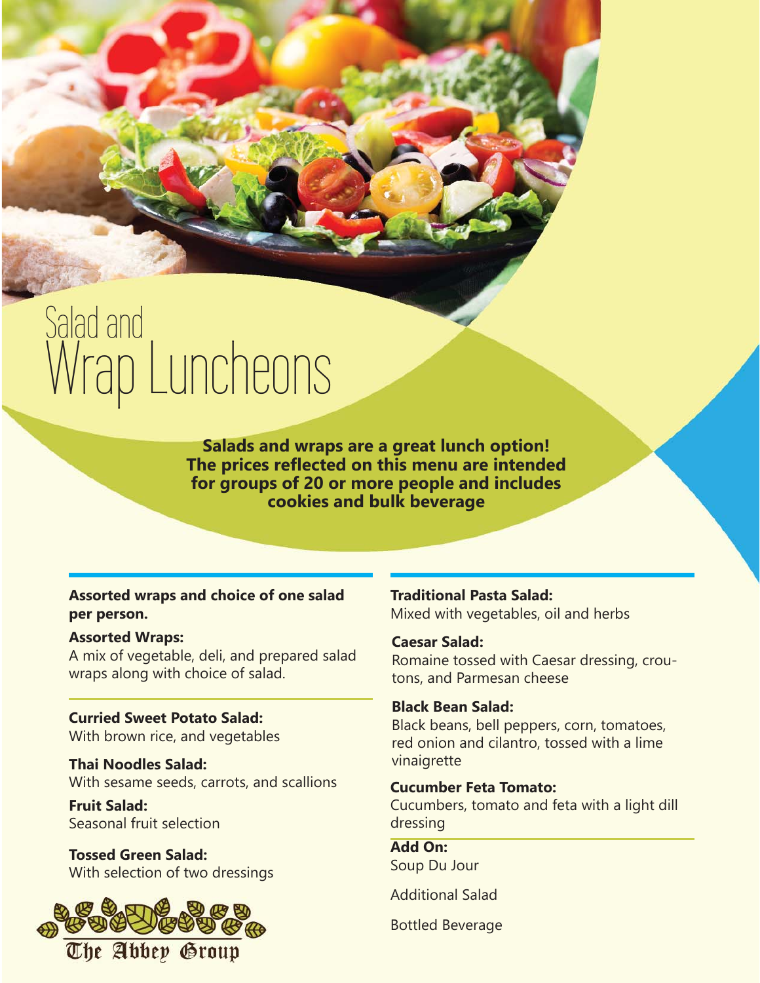# Salad and <sup>diau anu</sup><br>Wrap Luncheons

**Salads and wraps are a great lunch option! The prices reflected on this menu are intended for groups of 20 or more people and includes cookies and bulk beverage**

**Assorted wraps and choice of one salad per person.**

#### **Assorted Wraps:**

A mix of vegetable, deli, and prepared salad wraps along with choice of salad.

**Curried Sweet Potato Salad:** With brown rice, and vegetables

**Thai Noodles Salad:** With sesame seeds, carrots, and scallions

**Fruit Salad:** Seasonal fruit selection

**Tossed Green Salad:** With selection of two dressings



**Traditional Pasta Salad:** Mixed with vegetables, oil and herbs

#### **Caesar Salad:**

Romaine tossed with Caesar dressing, croutons, and Parmesan cheese

#### **Black Bean Salad:**

Black beans, bell peppers, corn, tomatoes, red onion and cilantro, tossed with a lime vinaigrette

# **Cucumber Feta Tomato:**

Cucumbers, tomato and feta with a light dill dressing

**Add On:** Soup Du Jour

Additional Salad

Bottled Beverage